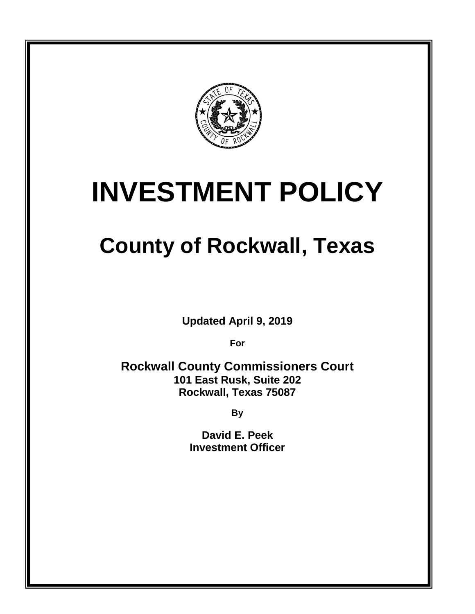

## **INVESTMENT POLICY**

## **County of Rockwall, Texas**

**Updated April 9, 2019**

**For**

**Rockwall County Commissioners Court 101 East Rusk, Suite 202 Rockwall, Texas 75087**

**By**

**David E. Peek Investment Officer**

Page 1 of 13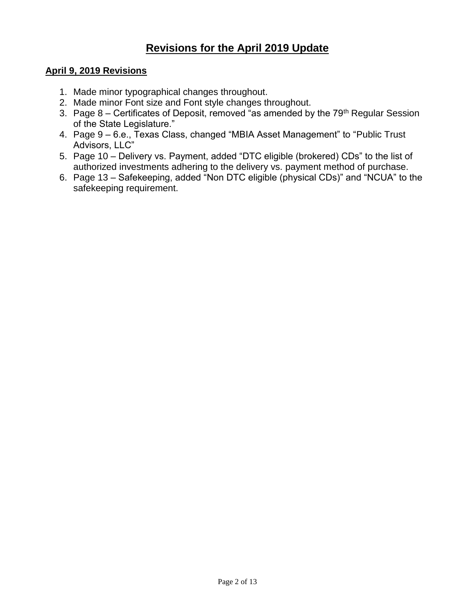#### **Revisions for the April 2019 Update**

#### **April 9, 2019 Revisions**

- 1. Made minor typographical changes throughout.
- 2. Made minor Font size and Font style changes throughout.
- 3. Page  $8$  Certificates of Deposit, removed "as amended by the 79<sup>th</sup> Regular Session of the State Legislature."
- 4. Page 9 6.e., Texas Class, changed "MBIA Asset Management" to "Public Trust Advisors, LLC"
- 5. Page 10 Delivery vs. Payment, added "DTC eligible (brokered) CDs" to the list of authorized investments adhering to the delivery vs. payment method of purchase.
- 6. Page 13 Safekeeping, added "Non DTC eligible (physical CDs)" and "NCUA" to the safekeeping requirement.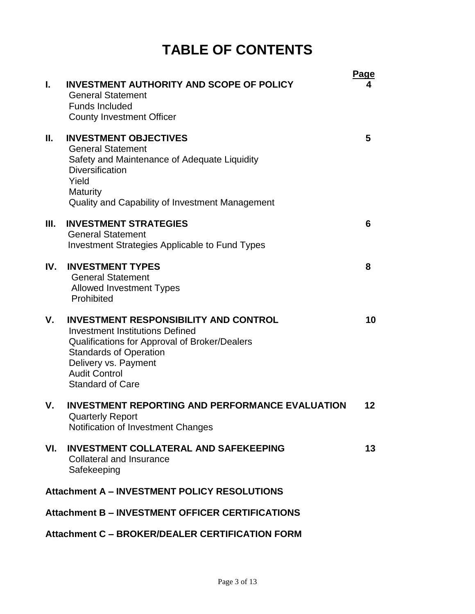### **TABLE OF CONTENTS**

| L.                                                  | <b>INVESTMENT AUTHORITY AND SCOPE OF POLICY</b><br><b>General Statement</b><br><b>Funds Included</b><br><b>County Investment Officer</b>                                                                                                            | <b>Page</b><br>4 |  |
|-----------------------------------------------------|-----------------------------------------------------------------------------------------------------------------------------------------------------------------------------------------------------------------------------------------------------|------------------|--|
| П.                                                  | <b>INVESTMENT OBJECTIVES</b><br><b>General Statement</b><br>Safety and Maintenance of Adequate Liquidity<br><b>Diversification</b><br>Yield<br>Maturity<br>Quality and Capability of Investment Management                                          | 5                |  |
| III.                                                | <b>INVESTMENT STRATEGIES</b><br><b>General Statement</b><br>Investment Strategies Applicable to Fund Types                                                                                                                                          | 6                |  |
| IV.                                                 | <b>INVESTMENT TYPES</b><br><b>General Statement</b><br><b>Allowed Investment Types</b><br>Prohibited                                                                                                                                                | 8                |  |
| V.                                                  | <b>INVESTMENT RESPONSIBILITY AND CONTROL</b><br><b>Investment Institutions Defined</b><br>Qualifications for Approval of Broker/Dealers<br><b>Standards of Operation</b><br>Delivery vs. Payment<br><b>Audit Control</b><br><b>Standard of Care</b> | 10               |  |
| V.                                                  | <b>INVESTMENT REPORTING AND PERFORMANCE EVALUATION</b><br><b>Quarterly Report</b><br>Notification of Investment Changes                                                                                                                             | $12 \,$          |  |
| VI.                                                 | <b>INVESTMENT COLLATERAL AND SAFEKEEPING</b><br><b>Collateral and Insurance</b><br>Safekeeping                                                                                                                                                      | 13               |  |
| <b>Attachment A - INVESTMENT POLICY RESOLUTIONS</b> |                                                                                                                                                                                                                                                     |                  |  |
| Attachment B - INVESTMENT OFFICER CERTIFICATIONS    |                                                                                                                                                                                                                                                     |                  |  |
| Attachment C - BROKER/DEALER CERTIFICATION FORM     |                                                                                                                                                                                                                                                     |                  |  |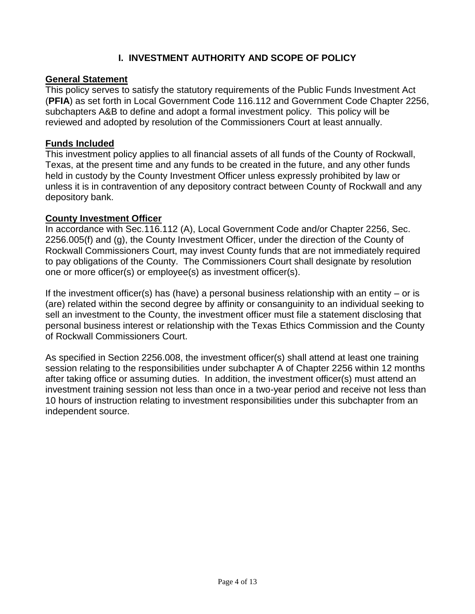#### **I. INVESTMENT AUTHORITY AND SCOPE OF POLICY**

#### **General Statement**

This policy serves to satisfy the statutory requirements of the Public Funds Investment Act (**PFIA**) as set forth in Local Government Code 116.112 and Government Code Chapter 2256, subchapters A&B to define and adopt a formal investment policy. This policy will be reviewed and adopted by resolution of the Commissioners Court at least annually.

#### **Funds Included**

This investment policy applies to all financial assets of all funds of the County of Rockwall, Texas, at the present time and any funds to be created in the future, and any other funds held in custody by the County Investment Officer unless expressly prohibited by law or unless it is in contravention of any depository contract between County of Rockwall and any depository bank.

#### **County Investment Officer**

In accordance with Sec.116.112 (A), Local Government Code and/or Chapter 2256, Sec. 2256.005(f) and (g), the County Investment Officer, under the direction of the County of Rockwall Commissioners Court, may invest County funds that are not immediately required to pay obligations of the County. The Commissioners Court shall designate by resolution one or more officer(s) or employee(s) as investment officer(s).

If the investment officer(s) has (have) a personal business relationship with an entity  $-$  or is (are) related within the second degree by affinity or consanguinity to an individual seeking to sell an investment to the County, the investment officer must file a statement disclosing that personal business interest or relationship with the Texas Ethics Commission and the County of Rockwall Commissioners Court.

As specified in Section 2256.008, the investment officer(s) shall attend at least one training session relating to the responsibilities under subchapter A of Chapter 2256 within 12 months after taking office or assuming duties. In addition, the investment officer(s) must attend an investment training session not less than once in a two-year period and receive not less than 10 hours of instruction relating to investment responsibilities under this subchapter from an independent source.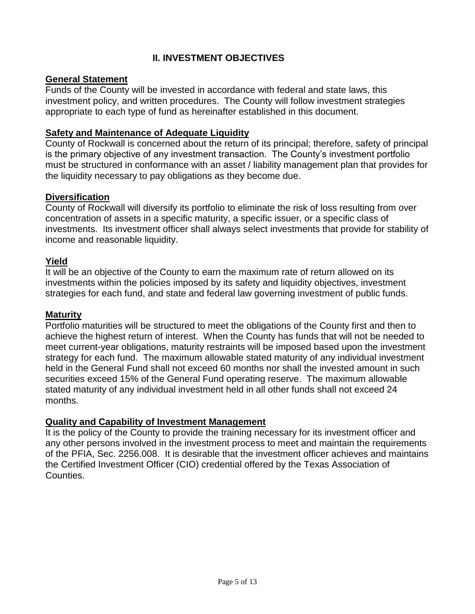#### **II. INVESTMENT OBJECTIVES**

#### **General Statement**

Funds of the County will be invested in accordance with federal and state laws, this investment policy, and written procedures. The County will follow investment strategies appropriate to each type of fund as hereinafter established in this document.

#### **Safety and Maintenance of Adequate Liquidity**

County of Rockwall is concerned about the return of its principal; therefore, safety of principal is the primary objective of any investment transaction. The County's investment portfolio must be structured in conformance with an asset / liability management plan that provides for the liquidity necessary to pay obligations as they become due.

#### **Diversification**

County of Rockwall will diversify its portfolio to eliminate the risk of loss resulting from over concentration of assets in a specific maturity, a specific issuer, or a specific class of investments. Its investment officer shall always select investments that provide for stability of income and reasonable liquidity.

#### **Yield**

It will be an objective of the County to earn the maximum rate of return allowed on its investments within the policies imposed by its safety and liquidity objectives, investment strategies for each fund, and state and federal law governing investment of public funds.

#### **Maturity**

Portfolio maturities will be structured to meet the obligations of the County first and then to achieve the highest return of interest. When the County has funds that will not be needed to meet current-year obligations, maturity restraints will be imposed based upon the investment strategy for each fund. The maximum allowable stated maturity of any individual investment held in the General Fund shall not exceed 60 months nor shall the invested amount in such securities exceed 15% of the General Fund operating reserve. The maximum allowable stated maturity of any individual investment held in all other funds shall not exceed 24 months.

#### **Quality and Capability of Investment Management**

It is the policy of the County to provide the training necessary for its investment officer and any other persons involved in the investment process to meet and maintain the requirements of the PFIA, Sec. 2256.008. It is desirable that the investment officer achieves and maintains the Certified Investment Officer (CIO) credential offered by the Texas Association of **Counties**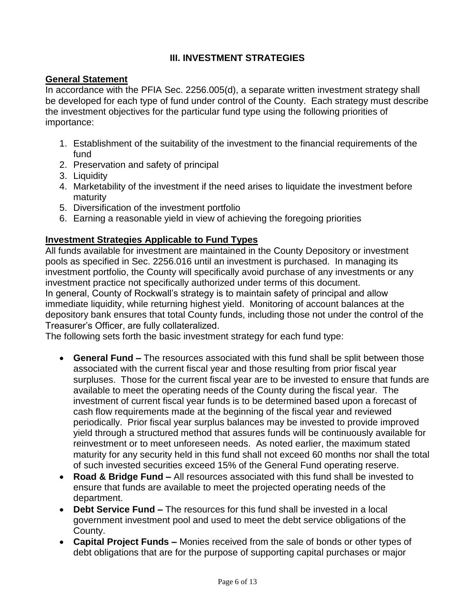#### **III. INVESTMENT STRATEGIES**

#### **General Statement**

In accordance with the PFIA Sec. 2256.005(d), a separate written investment strategy shall be developed for each type of fund under control of the County. Each strategy must describe the investment objectives for the particular fund type using the following priorities of importance:

- 1. Establishment of the suitability of the investment to the financial requirements of the fund
- 2. Preservation and safety of principal
- 3. Liquidity
- 4. Marketability of the investment if the need arises to liquidate the investment before maturity
- 5. Diversification of the investment portfolio
- 6. Earning a reasonable yield in view of achieving the foregoing priorities

#### **Investment Strategies Applicable to Fund Types**

All funds available for investment are maintained in the County Depository or investment pools as specified in Sec. 2256.016 until an investment is purchased. In managing its investment portfolio, the County will specifically avoid purchase of any investments or any investment practice not specifically authorized under terms of this document. In general, County of Rockwall's strategy is to maintain safety of principal and allow immediate liquidity, while returning highest yield. Monitoring of account balances at the depository bank ensures that total County funds, including those not under the control of the Treasurer's Officer, are fully collateralized.

The following sets forth the basic investment strategy for each fund type:

- **General Fund –** The resources associated with this fund shall be split between those associated with the current fiscal year and those resulting from prior fiscal year surpluses. Those for the current fiscal year are to be invested to ensure that funds are available to meet the operating needs of the County during the fiscal year. The investment of current fiscal year funds is to be determined based upon a forecast of cash flow requirements made at the beginning of the fiscal year and reviewed periodically. Prior fiscal year surplus balances may be invested to provide improved yield through a structured method that assures funds will be continuously available for reinvestment or to meet unforeseen needs. As noted earlier, the maximum stated maturity for any security held in this fund shall not exceed 60 months nor shall the total of such invested securities exceed 15% of the General Fund operating reserve.
- **Road & Bridge Fund –** All resources associated with this fund shall be invested to ensure that funds are available to meet the projected operating needs of the department.
- **Debt Service Fund –** The resources for this fund shall be invested in a local government investment pool and used to meet the debt service obligations of the County.
- **Capital Project Funds –** Monies received from the sale of bonds or other types of debt obligations that are for the purpose of supporting capital purchases or major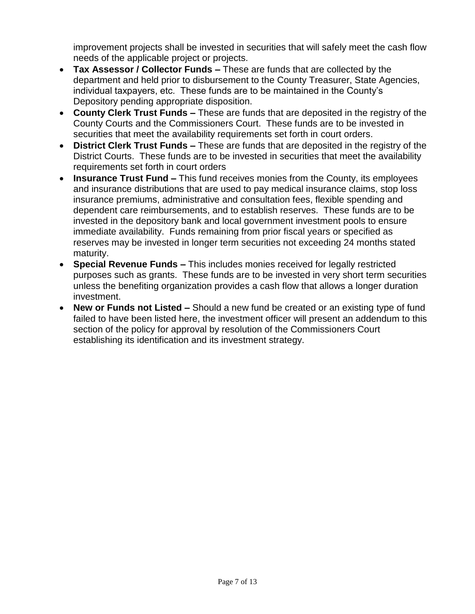improvement projects shall be invested in securities that will safely meet the cash flow needs of the applicable project or projects.

- **Tax Assessor / Collector Funds –** These are funds that are collected by the department and held prior to disbursement to the County Treasurer, State Agencies, individual taxpayers, etc. These funds are to be maintained in the County's Depository pending appropriate disposition.
- **County Clerk Trust Funds –** These are funds that are deposited in the registry of the County Courts and the Commissioners Court. These funds are to be invested in securities that meet the availability requirements set forth in court orders.
- **District Clerk Trust Funds –** These are funds that are deposited in the registry of the District Courts. These funds are to be invested in securities that meet the availability requirements set forth in court orders
- **Insurance Trust Fund –** This fund receives monies from the County, its employees and insurance distributions that are used to pay medical insurance claims, stop loss insurance premiums, administrative and consultation fees, flexible spending and dependent care reimbursements, and to establish reserves. These funds are to be invested in the depository bank and local government investment pools to ensure immediate availability. Funds remaining from prior fiscal years or specified as reserves may be invested in longer term securities not exceeding 24 months stated maturity.
- **Special Revenue Funds –** This includes monies received for legally restricted purposes such as grants. These funds are to be invested in very short term securities unless the benefiting organization provides a cash flow that allows a longer duration investment.
- **New or Funds not Listed –** Should a new fund be created or an existing type of fund failed to have been listed here, the investment officer will present an addendum to this section of the policy for approval by resolution of the Commissioners Court establishing its identification and its investment strategy.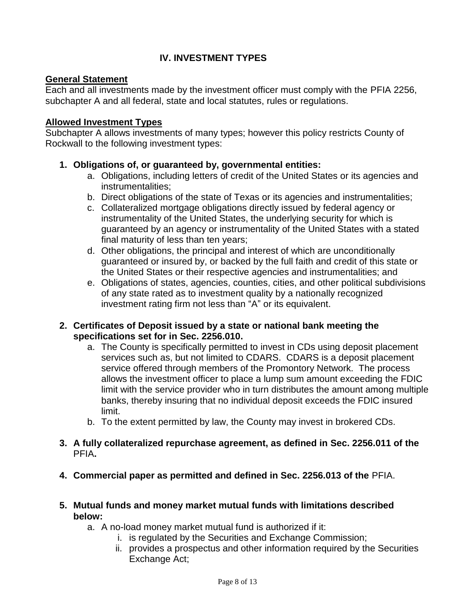#### **IV. INVESTMENT TYPES**

#### **General Statement**

Each and all investments made by the investment officer must comply with the PFIA 2256, subchapter A and all federal, state and local statutes, rules or regulations.

#### **Allowed Investment Types**

Subchapter A allows investments of many types; however this policy restricts County of Rockwall to the following investment types:

#### **1. Obligations of, or guaranteed by, governmental entities:**

- a. Obligations, including letters of credit of the United States or its agencies and instrumentalities;
- b. Direct obligations of the state of Texas or its agencies and instrumentalities;
- c. Collateralized mortgage obligations directly issued by federal agency or instrumentality of the United States, the underlying security for which is guaranteed by an agency or instrumentality of the United States with a stated final maturity of less than ten years;
- d. Other obligations, the principal and interest of which are unconditionally guaranteed or insured by, or backed by the full faith and credit of this state or the United States or their respective agencies and instrumentalities; and
- e. Obligations of states, agencies, counties, cities, and other political subdivisions of any state rated as to investment quality by a nationally recognized investment rating firm not less than "A" or its equivalent.

#### **2. Certificates of Deposit issued by a state or national bank meeting the specifications set for in Sec. 2256.010.**

- a. The County is specifically permitted to invest in CDs using deposit placement services such as, but not limited to CDARS. CDARS is a deposit placement service offered through members of the Promontory Network. The process allows the investment officer to place a lump sum amount exceeding the FDIC limit with the service provider who in turn distributes the amount among multiple banks, thereby insuring that no individual deposit exceeds the FDIC insured limit.
- b. To the extent permitted by law, the County may invest in brokered CDs.
- **3. A fully collateralized repurchase agreement, as defined in Sec. 2256.011 of the**  PFIA**.**
- **4. Commercial paper as permitted and defined in Sec. 2256.013 of the** PFIA.
- **5. Mutual funds and money market mutual funds with limitations described below:**
	- a. A no-load money market mutual fund is authorized if it:
		- i. is regulated by the Securities and Exchange Commission;
		- ii. provides a prospectus and other information required by the Securities Exchange Act;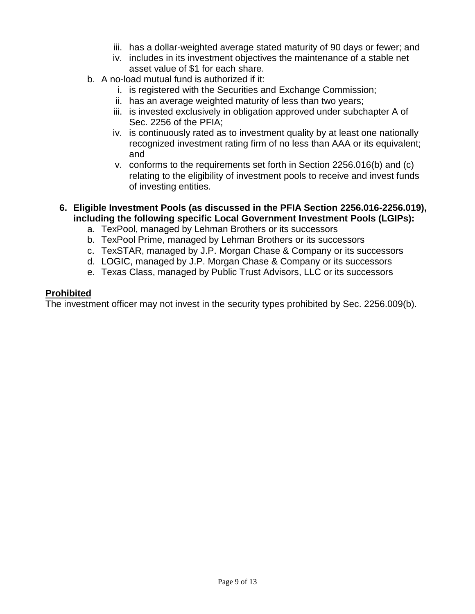- iii. has a dollar-weighted average stated maturity of 90 days or fewer; and
- iv. includes in its investment objectives the maintenance of a stable net asset value of \$1 for each share.
- b. A no-load mutual fund is authorized if it:
	- i. is registered with the Securities and Exchange Commission;
	- ii. has an average weighted maturity of less than two years;
	- iii. is invested exclusively in obligation approved under subchapter A of Sec. 2256 of the PFIA;
	- iv. is continuously rated as to investment quality by at least one nationally recognized investment rating firm of no less than AAA or its equivalent; and
	- v. conforms to the requirements set forth in Section 2256.016(b) and (c) relating to the eligibility of investment pools to receive and invest funds of investing entities.
- **6. Eligible Investment Pools (as discussed in the PFIA Section 2256.016-2256.019), including the following specific Local Government Investment Pools (LGIPs):**
	- a. TexPool, managed by Lehman Brothers or its successors
	- b. TexPool Prime, managed by Lehman Brothers or its successors
	- c. TexSTAR, managed by J.P. Morgan Chase & Company or its successors
	- d. LOGIC, managed by J.P. Morgan Chase & Company or its successors
	- e. Texas Class, managed by Public Trust Advisors, LLC or its successors

#### **Prohibited**

The investment officer may not invest in the security types prohibited by Sec. 2256.009(b).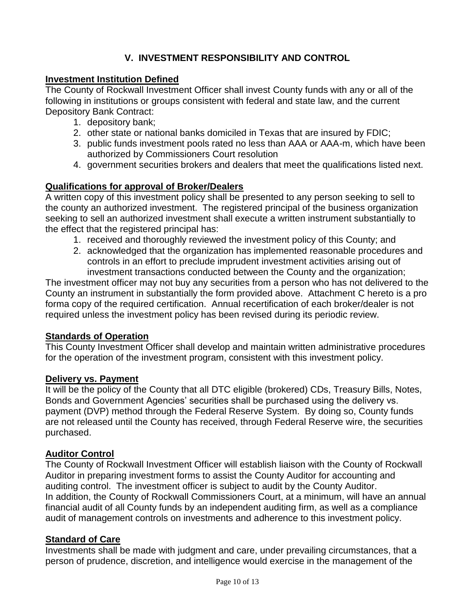#### **V. INVESTMENT RESPONSIBILITY AND CONTROL**

#### **Investment Institution Defined**

The County of Rockwall Investment Officer shall invest County funds with any or all of the following in institutions or groups consistent with federal and state law, and the current Depository Bank Contract:

- 1. depository bank;
- 2. other state or national banks domiciled in Texas that are insured by FDIC;
- 3. public funds investment pools rated no less than AAA or AAA-m, which have been authorized by Commissioners Court resolution
- 4. government securities brokers and dealers that meet the qualifications listed next.

#### **Qualifications for approval of Broker/Dealers**

A written copy of this investment policy shall be presented to any person seeking to sell to the county an authorized investment. The registered principal of the business organization seeking to sell an authorized investment shall execute a written instrument substantially to the effect that the registered principal has:

- 1. received and thoroughly reviewed the investment policy of this County; and
- 2. acknowledged that the organization has implemented reasonable procedures and controls in an effort to preclude imprudent investment activities arising out of investment transactions conducted between the County and the organization;

The investment officer may not buy any securities from a person who has not delivered to the County an instrument in substantially the form provided above. Attachment C hereto is a pro forma copy of the required certification. Annual recertification of each broker/dealer is not required unless the investment policy has been revised during its periodic review.

#### **Standards of Operation**

This County Investment Officer shall develop and maintain written administrative procedures for the operation of the investment program, consistent with this investment policy.

#### **Delivery vs. Payment**

It will be the policy of the County that all DTC eligible (brokered) CDs, Treasury Bills, Notes, Bonds and Government Agencies' securities shall be purchased using the delivery vs. payment (DVP) method through the Federal Reserve System. By doing so, County funds are not released until the County has received, through Federal Reserve wire, the securities purchased.

#### **Auditor Control**

The County of Rockwall Investment Officer will establish liaison with the County of Rockwall Auditor in preparing investment forms to assist the County Auditor for accounting and auditing control. The investment officer is subject to audit by the County Auditor. In addition, the County of Rockwall Commissioners Court, at a minimum, will have an annual financial audit of all County funds by an independent auditing firm, as well as a compliance audit of management controls on investments and adherence to this investment policy.

#### **Standard of Care**

Investments shall be made with judgment and care, under prevailing circumstances, that a person of prudence, discretion, and intelligence would exercise in the management of the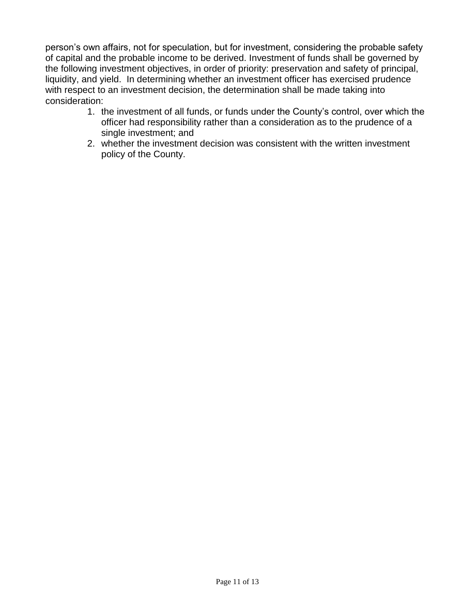person's own affairs, not for speculation, but for investment, considering the probable safety of capital and the probable income to be derived. Investment of funds shall be governed by the following investment objectives, in order of priority: preservation and safety of principal, liquidity, and yield. In determining whether an investment officer has exercised prudence with respect to an investment decision, the determination shall be made taking into consideration:

- 1. the investment of all funds, or funds under the County's control, over which the officer had responsibility rather than a consideration as to the prudence of a single investment; and
- 2. whether the investment decision was consistent with the written investment policy of the County.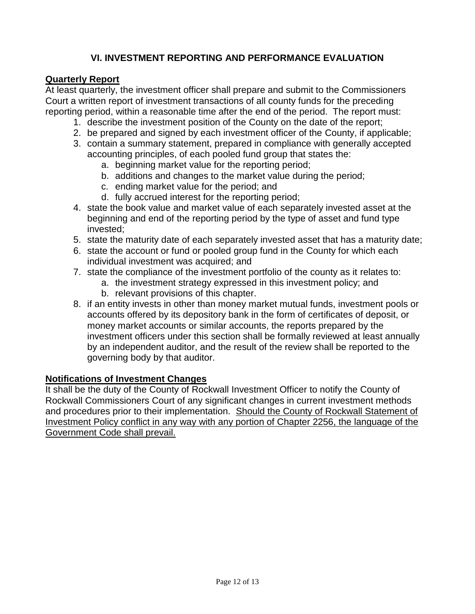#### **VI. INVESTMENT REPORTING AND PERFORMANCE EVALUATION**

#### **Quarterly Report**

At least quarterly, the investment officer shall prepare and submit to the Commissioners Court a written report of investment transactions of all county funds for the preceding reporting period, within a reasonable time after the end of the period. The report must:

- 1. describe the investment position of the County on the date of the report;
- 2. be prepared and signed by each investment officer of the County, if applicable;
- 3. contain a summary statement, prepared in compliance with generally accepted accounting principles, of each pooled fund group that states the:
	- a. beginning market value for the reporting period;
	- b. additions and changes to the market value during the period;
	- c. ending market value for the period; and
	- d. fully accrued interest for the reporting period;
- 4. state the book value and market value of each separately invested asset at the beginning and end of the reporting period by the type of asset and fund type invested;
- 5. state the maturity date of each separately invested asset that has a maturity date;
- 6. state the account or fund or pooled group fund in the County for which each individual investment was acquired; and
- 7. state the compliance of the investment portfolio of the county as it relates to:
	- a. the investment strategy expressed in this investment policy; and
	- b. relevant provisions of this chapter.
- 8. if an entity invests in other than money market mutual funds, investment pools or accounts offered by its depository bank in the form of certificates of deposit, or money market accounts or similar accounts, the reports prepared by the investment officers under this section shall be formally reviewed at least annually by an independent auditor, and the result of the review shall be reported to the governing body by that auditor.

#### **Notifications of Investment Changes**

It shall be the duty of the County of Rockwall Investment Officer to notify the County of Rockwall Commissioners Court of any significant changes in current investment methods and procedures prior to their implementation. Should the County of Rockwall Statement of Investment Policy conflict in any way with any portion of Chapter 2256, the language of the Government Code shall prevail.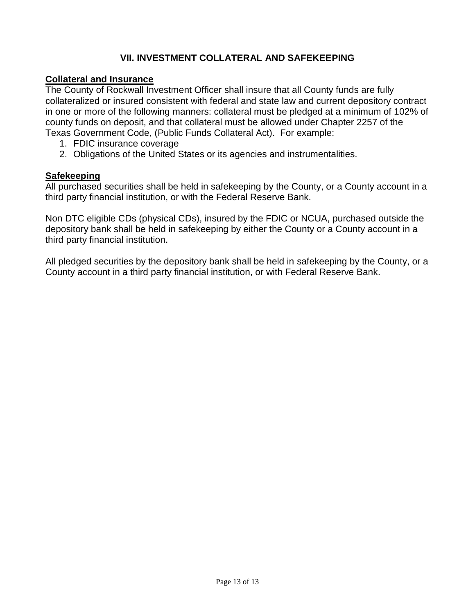#### **VII. INVESTMENT COLLATERAL AND SAFEKEEPING**

#### **Collateral and Insurance**

The County of Rockwall Investment Officer shall insure that all County funds are fully collateralized or insured consistent with federal and state law and current depository contract in one or more of the following manners: collateral must be pledged at a minimum of 102% of county funds on deposit, and that collateral must be allowed under Chapter 2257 of the Texas Government Code, (Public Funds Collateral Act). For example:

- 1. FDIC insurance coverage
- 2. Obligations of the United States or its agencies and instrumentalities.

#### **Safekeeping**

All purchased securities shall be held in safekeeping by the County, or a County account in a third party financial institution, or with the Federal Reserve Bank.

Non DTC eligible CDs (physical CDs), insured by the FDIC or NCUA, purchased outside the depository bank shall be held in safekeeping by either the County or a County account in a third party financial institution.

All pledged securities by the depository bank shall be held in safekeeping by the County, or a County account in a third party financial institution, or with Federal Reserve Bank.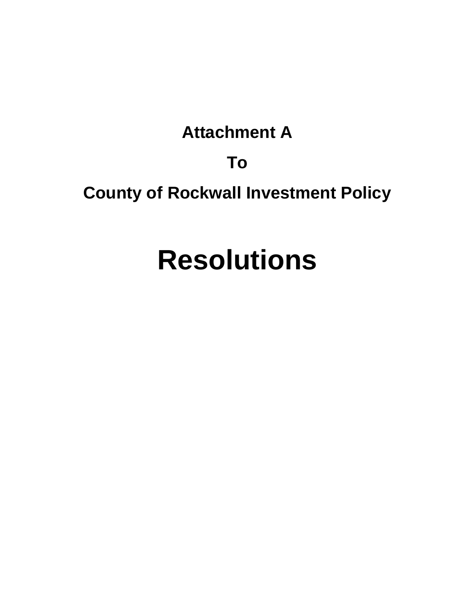## **Attachment A**

### **To**

## **County of Rockwall Investment Policy**

## **Resolutions**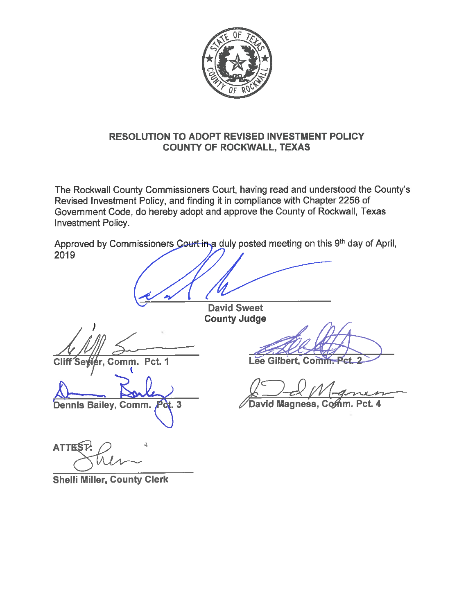

#### **RESOLUTION TO ADOPT REVISED INVESTMENT POLICY COUNTY OF ROCKWALL, TEXAS**

The Rockwall County Commissioners Court, having read and understood the County's Revised Investment Policy, and finding it in compliance with Chapter 2256 of Government Code, do hereby adopt and approve the County of Rockwall, Texas **Investment Policy.** 

Approved by Commissioners Court in a duly posted meeting on this 9th day of April, 2019

**David Sweet County Judge** 

Seviér, Comm. Pct. 1 **Cliff** 

3

Lee Gilbert, Comm.

David Magness, Co*ff*im. Pct.

Dennis Bailey, Comm.

**ATTES** 

**Shelli Miller, County Clerk**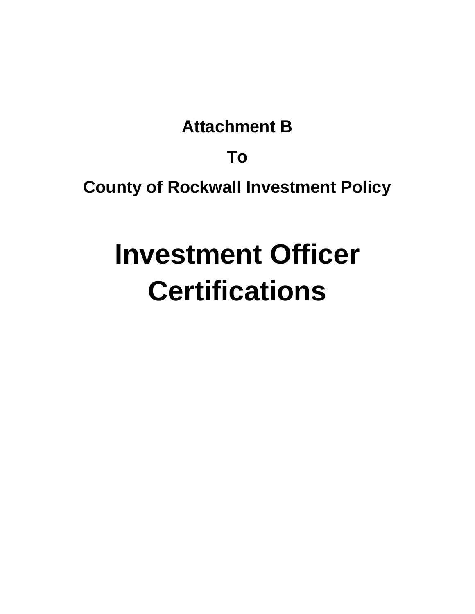**Attachment B**

**To**

**County of Rockwall Investment Policy**

# **Investment Officer Certifications**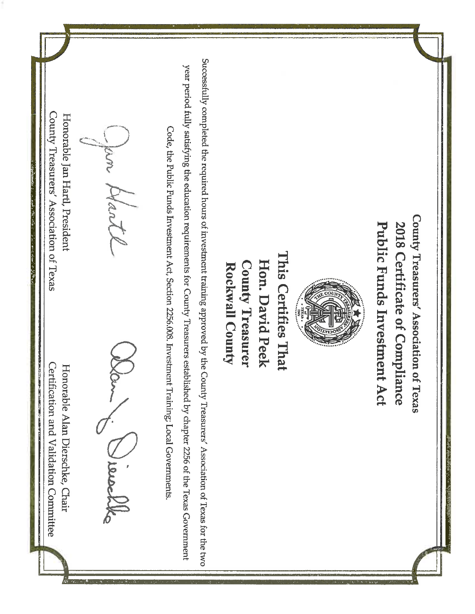County Treasurers' Association of Texas 2018 Certificate of Compliance Public Funds Investment Act



This Certifies That Hon. David Peek County Treasurer Rockwall County

Successfully completed the required hours of investment training approved by the County Treasurers' Association of Texas for the two year period fully satisfying the education requirements for County Treasurers established by chapter 2256 of the Texas Government Code, the Public Funds Investment Act, Section 2256.008. Investment Training; Local Governments.

**AND** Shartl

County Treasurers' Association of Texas Honorable Jan Hartl, President

1、 1、 1、 1、 1、 1、 1、

のうり あという かいかい アクライト

 $\frac{1000c}{2}$ 

Certification and Validation Committee Honorable Alan Dierschke, Chair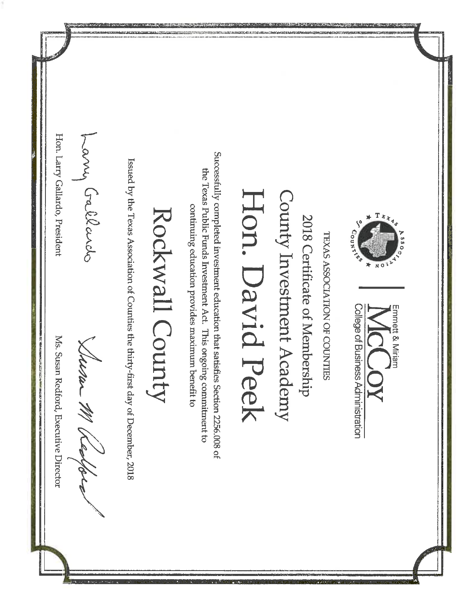

Lany Gallendo

Hon. Larry Gallardo, President

Suna M Redfore

Ms. Susan Redford, Executive Director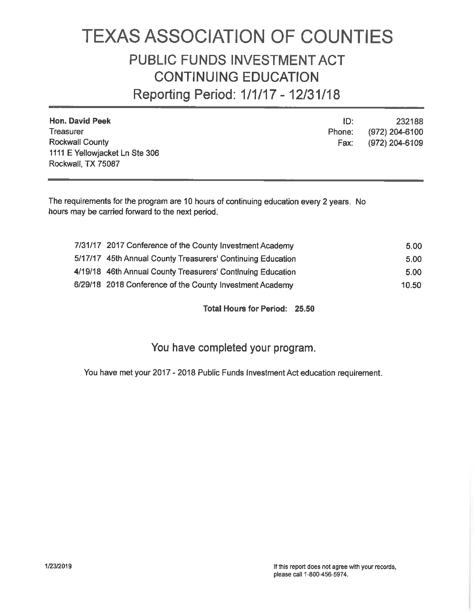### **TEXAS ASSOCIATION OF COUNTIES** PUBLIC FUNDS INVESTMENT ACT **CONTINUING EDUCATION** Reporting Period: 1/1/17 - 12/31/18

| <b>Hon. David Peek</b>         | ID: | 232188                |
|--------------------------------|-----|-----------------------|
| Treasurer                      |     | Phone: (972) 204-6100 |
| <b>Rockwall County</b>         |     | Fax: (972) 204-6109   |
| 1111 E Yellowjacket Ln Ste 306 |     |                       |
| Rockwall, TX 75087             |     |                       |

The requirements for the program are 10 hours of continuing education every 2 years. No hours may be carried forward to the next period.

| 7/31/17 2017 Conference of the County Investment Academy    | 5.00  |
|-------------------------------------------------------------|-------|
| 5/17/17 45th Annual County Treasurers' Continuing Education | 5.00  |
| 4/19/18 46th Annual County Treasurers' Continuing Education | 5.00  |
| 6/29/18 2018 Conference of the County Investment Academy    | 10.50 |

**Total Hours for Period: 25.50** 

#### You have completed your program.

You have met your 2017 - 2018 Public Funds Investment Act education requirement.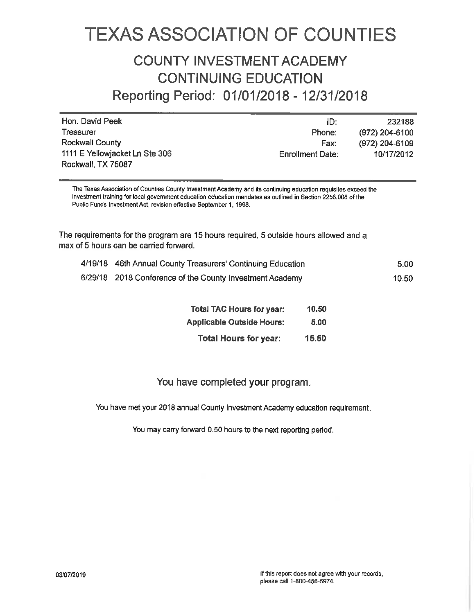## **TEXAS ASSOCIATION OF COUNTIES**

### **COUNTY INVESTMENT ACADEMY CONTINUING EDUCATION** Reporting Period: 01/01/2018 - 12/31/2018

| Hon. David Peek                | ID:                     | 232188           |
|--------------------------------|-------------------------|------------------|
| Treasurer                      | Phone:                  | $(972)$ 204-6100 |
| <b>Rockwall County</b>         | Fax:                    | $(972)$ 204-6109 |
| 1111 E Yellowjacket Ln Ste 306 | <b>Enrollment Date:</b> | 10/17/2012       |
| Rockwall, TX 75087             |                         |                  |

The Texas Association of Counties County Investment Academy and its continuing education requisites exceed the investment training for local government education education mandates as outlined in Section 2256.008 of the Public Funds Investment Act, revision effective September 1, 1998.

The requirements for the program are 15 hours required, 5 outside hours allowed and a max of 5 hours can be carried forward.

|  | 4/19/18 46th Annual County Treasurers' Continuing Education |  | 5.00 |
|--|-------------------------------------------------------------|--|------|
|--|-------------------------------------------------------------|--|------|

6/29/18 2018 Conference of the County Investment Academy 10.50

| <b>Total TAC Hours for year:</b> | 10.50 |
|----------------------------------|-------|
| <b>Applicable Outside Hours:</b> | 5.00  |
| <b>Total Hours for year:</b>     | 15.50 |

#### You have completed your program.

You have met your 2018 annual County Investment Academy education requirement.

You may carry forward 0.50 hours to the next reporting period.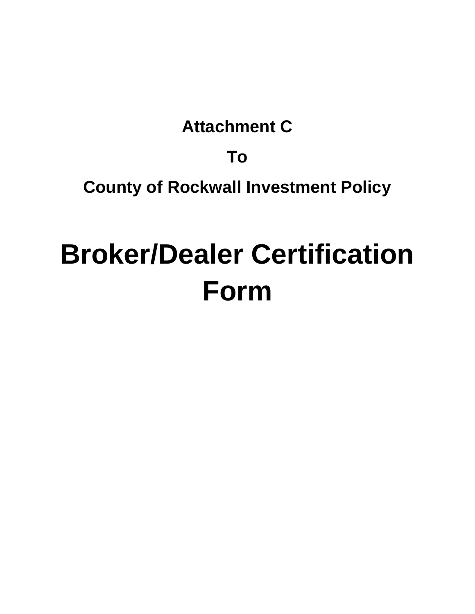**Attachment C**

**To**

**County of Rockwall Investment Policy**

# **Broker/Dealer Certification Form**